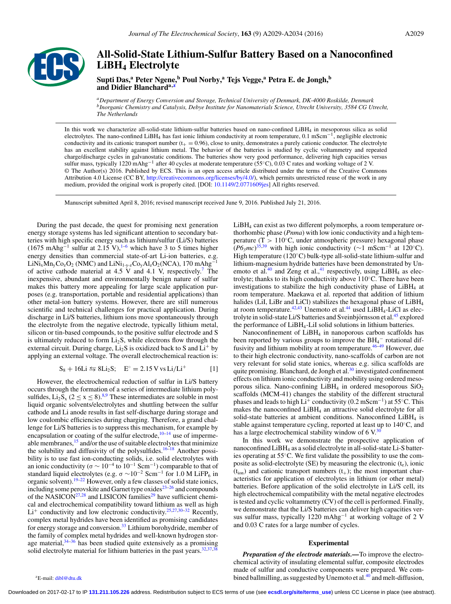

# **All-Solid-State Lithium-Sulfur Battery Based on a Nanoconfined LiBH4 Electrolyte**

**Supti Das,<sup>a</sup> Peter Ngene,<sup>b</sup> Poul Norby,<sup>a</sup> Tejs Vegge,a Petra E. de Jongh,<sup>b</sup> and Didier Blancharda[,z](#page-0-0)**

*aDepartment of Energy Conversion and Storage, Technical University of Denmark, DK-4000 Roskilde, Denmark bInorganic Chemistry and Catalysis, Debye Institute for Nanomaterials Science, Utrecht University, 3584 CG Utrecht, The Netherlands*

In this work we characterize all-solid-state lithium-sulfur batteries based on nano-confined LiBH4 in mesoporous silica as solid electrolytes. The nano-confined LiBH<sub>4</sub> has fast ionic lithium conductivity at room temperature, 0.1 mScm<sup>-1</sup>, negligible electronic conductivity and its cationic transport number  $(t_{+} = 0.96)$ , close to unity, demonstrates a purely cationic conductor. The electrolyte has an excellent stability against lithium metal. The behavior of the batteries is studied by cyclic voltammetry and repeated charge/discharge cycles in galvanostatic conditions. The batteries show very good performance, delivering high capacities versus sulfur mass, typically 1220 mAhg<sup>-1</sup> after 40 cycles at moderate temperature (55°C), 0.03 C rates and working voltage of 2 V. © The Author(s) 2016. Published by ECS. This is an open access article distributed under the terms of the Creative Commons Attribution 4.0 License (CC BY, [http://creativecommons.org/licenses/by/4.0/\)](http://creativecommons.org/licenses/by/4.0/), which permits unrestricted reuse of the work in any medium, provided the original work is properly cited. [DOI: [10.1149/2.0771609jes\]](http://dx.doi.org/10.1149/2.0771609jes) All rights reserved.

Manuscript submitted April 8, 2016; revised manuscript received June 9, 2016. Published July 21, 2016.

During the past decade, the quest for promising next generation energy storage systems has led significant attention to secondary batteries with high specific energy such as lithium/sulfur (Li/S) batteries (1[6](#page-5-1)75 mAhg<sup>-1</sup> sulfur at 2.15 V),<sup>1–6</sup> which have 3 to 5 times higher energy densities than commercial state-of-art Li-ion batteries, e.g. LiNi<sub>x</sub>Mn<sub>y</sub>Co<sub>z</sub>O<sub>2</sub> (NMC) and LiNi<sub>1-y-z</sub>Co<sub>y</sub>Al<sub>z</sub>O<sub>2</sub>(NCA), 170 mAhg<sup>-1</sup> of active cathode material at  $4.5$  V and  $4.1$  V, respectively.<sup>7</sup> The inexpensive, abundant and environmentally benign nature of sulfur makes this battery more appealing for large scale application purposes (e.g. transportation, portable and residential applications) than other metal-ion battery systems. However, there are still numerous scientific and technical challenges for practical application. During discharge in Li/S batteries, lithium ions move spontaneously through the electrolyte from the negative electrode, typically lithium metal, silicon or tin-based compounds, to the positive sulfur electrode and S is ultimately reduced to form  $Li<sub>2</sub>S$ , while electrons flow through the external circuit. During charge,  $Li<sub>2</sub>S$  is oxidized back to S and  $Li<sup>+</sup>$  by applying an external voltage. The overall electrochemical reaction is:

$$
S_8 + 16Li \leq SLi_2S; \quad E^\circ = 2.15 \text{ V vs } Li/Li^+ \tag{1}
$$

However, the electrochemical reduction of sulfur in Li/S battery occurs through the formation of a series of intermediate lithium polysulfides,  $Li_2S_x$  ( $2 \le x \le 8$ ).<sup>8[,9](#page-5-4)</sup> These intermediates are soluble in most liquid organic solvents/electrolytes and shuttling between the sulfur cathode and Li anode results in fast self-discharge during storage and low coulombic efficiencies during charging. Therefore, a grand challenge for Li/S batteries is to suppress this mechanism, for example by encapsulation or coating of the sulfur electrode, $10-14$  $10-14$  use of impermeable membranes, $\frac{15}{2}$  $\frac{15}{2}$  $\frac{15}{2}$  and/or the use of suitable electrolytes that minimize the solubility and diffusivity of the polysulfides.<sup>16[–18](#page-5-9)</sup> Another possibility is to use fast ion-conducting solids, i.e. solid electrolytes with an ionic conductivity ( $\sigma \sim 10^{-4}$  to  $10^{-1}$  Scm<sup>-1</sup>) comparable to that of standard liquid electrolytes (e.g.  $\sigma \sim 10^{-2}$  Scm<sup>-1</sup> for 1.0 M LiFP<sub>6</sub> in organic solvent)[.19](#page-5-10)[–22](#page-5-11) However, only a few classes of solid state ionics, including some perovskite and Garnet type oxides<sup>[23](#page-5-12)[–26](#page-5-13)</sup> and compounds of the NASICON<sup>27,[28](#page-5-15)</sup> and LISICON families<sup>[29](#page-5-16)</sup> have sufficient chemical and electrochemical compatibility toward lithium as well as high  $Li^{+}$  conductivity and low electronic conductivity.<sup>25,[27,](#page-5-14)[30](#page-5-18)[–32](#page-5-19)</sup> Recently, complex metal hydrides have been identified as promising candidates for energy storage and conversion.<sup>33</sup> Lithium borohydride, member of the family of complex metal hydrides and well-known hydrogen storage material,  $34-36$  $34-36$  has been studied quite extensively as a promising solid electrolyte material for lithium batteries in the past years. $32,37,37$  $32,37,37$  $32,37,37$ 

LiBH4 can exist as two different polymorphs*,* a room temperature orthorhombic phase (*Pnma*) with low ionic conductivity and a high temperature (T >  $110\degree C$ , under atmospheric pressure) hexagonal phase (*P6<sub>3</sub>mc*)<sup>[35](#page-5-25)[,39](#page-5-26)</sup> with high ionic conductivity (∼1 mScm<sup>-1</sup> at 120°C). High temperature (120◦C) bulk-type all-solid-state lithium-sulfur and lithium-magnesium hydride batteries have been demonstrated by Unemoto et al.<sup>40</sup> and Zeng et al.,<sup>41</sup> respectively, using LiBH<sub>4</sub> as electrolyte; thanks to its high conductivity above 110◦C. There have been investigations to stabilize the high conductivity phase of  $LiBH<sub>4</sub>$  at room temperature. Maekawa et al. reported that addition of lithium halides (LiI, LiBr and LiCl) stabilizes the hexagonal phase of LiBH<sub>4</sub> at room temperature.<sup>[42](#page-5-29)[,43](#page-5-30)</sup> Unemoto et al.<sup>44</sup> used LiBH<sub>4</sub>-LiCl as elec-trolyte in solid-state Li/S batteries and Sveinbjörnsson et al.<sup>[45](#page-5-32)</sup> explored the performance of LiBH4-LiI solid solutions in lithium batteries.

<span id="page-0-1"></span>Nanoconfinement of LiBH<sub>4</sub> in nanoporous carbon scaffolds has been reported by various groups to improve the  $BH_4^-$  rotational diffusivity and lithium mobility at room temperature[.46](#page-5-33)[–49](#page-5-34) However, due to their high electronic conductivity, nano-scaffolds of carbon are not very relevant for solid state ionics, whereas e.g. silica scaffolds are quite promising. Blanchard, de Jongh et al.<sup>30</sup> investigated confinement effects on lithium ionic conductivity and mobility using ordered mesoporous silica. Nano-confining LiBH<sub>4</sub> in ordered mesoporous  $SiO<sub>2</sub>$ scaffolds (MCM-41) changes the stability of the different structural phases and leads to high Li<sup>+</sup> conductivity (0.2 mScm<sup>-1</sup>) at 55°C. This makes the nanoconfined LiBH4 an attractive solid electrolyte for all solid-state batteries at ambient conditions. Nanoconfined LiBH<sub>4</sub> is stable against temperature cycling, reported at least up to 140◦C, and has a large electrochemical stability window of  $6$  V.<sup>[30](#page-5-18)</sup>

In this work we demonstrate the prospective application of nanoconfined  $LiBH<sub>4</sub>$  as a solid electrolyte in all-solid-state  $Li-S$  batteries operating at 55◦C. We first validate the possibility to use the composite as solid-electrolyte (SE) by measuring the electronic  $(t_e)$ , ionic  $(t_{ion})$  and cationic transport numbers  $(t_{+})$ ; the most important characteristics for application of electrolytes in lithium (or other metal) batteries. Before application of the solid electrolyte in Li/S cell, its high electrochemical compatibility with the metal negative electrodes is tested and cyclic voltammetry (CV) of the cell is performed. Finally, we demonstrate that the Li/S batteries can deliver high capacities versus sulfur mass, typically 1220 mAhg<sup>-1</sup> at working voltage of 2 V and 0.03 C rates for a large number of cycles.

#### **Experimental**

*Preparation of the electrode materials.—*To improve the electrochemical activity of insulating elemental sulfur, composite electrodes made of sulfur and conductive components were prepared. We com-bined ballmilling, as suggested by Unemoto et al.<sup>[40](#page-5-27)</sup> and melt-diffusion,

<span id="page-0-0"></span>zE-mail: [dibl@dtu.dk](mailto:dibl@dtu.dk)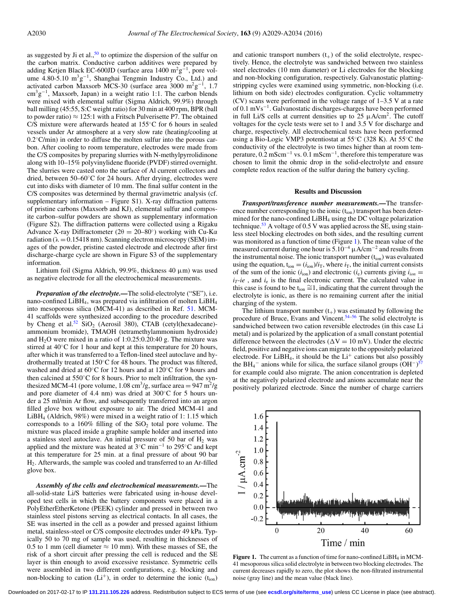as suggested by Ji et al.,  $50$  to optimize the dispersion of the sulfur on the carbon matrix. Conductive carbon additives were prepared by adding Ketjen Black EC-600JD (surface area 1400 m<sup>2</sup>g<sup>-1</sup>, pore volume 4.80-5.10  $m^3g^{-1}$ , Shanghai Tengmin Industry Co., Ltd.) and activated carbon Maxsorb MCS-30 (surface area 3000 m<sup>2</sup>g<sup>-1</sup>, 1.7 cm<sup>3</sup>g<sup>-1</sup>, Maxsorb, Japan) in a weight ratio 1:1. The carbon blends were mixed with elemental sulfur (Sigma Aldrich, 99.9%) through ball milling (45:55, S:C weight ratio) for 30 min at 400 rpm, BPR (ball to powder ratio)  $\approx 125:1$  with a Fritsch Pulverisette P7. The obtained C/S mixture were afterwards heated at 155◦C for 6 hours in sealed vessels under Ar atmosphere at a very slow rate (heating/cooling at  $0.2°$ C/min) in order to diffuse the molten sulfur into the porous carbon. After cooling to room temperature, electrodes were made from the C/S composites by preparing slurries with N-methylpyrrolidinone along with 10–15% polyvinylidene fluoride (PVDF) stirred overnight. The slurries were casted onto the surface of Al current collectors and dried, between 50–60◦C for 24 hours. After drying, electrodes were cut into disks with diameter of 10 mm. The final sulfur content in the C/S composites was determined by thermal gravimetric analysis (cf. supplementary information – Figure S1). X-ray diffraction patterns of pristine carbons (Maxsorb and KJ), elemental sulfur and composite carbon–sulfur powders are shown as supplementary information (Figure S2). The diffraction patterns were collected using a Rigaku Advance X-ray Diffractometer ( $2\theta = 20-80°$ ) working with Cu-K $\alpha$ radiation ( $\lambda = 0.15418$  nm). Scanning electron microscopy (SEM) images of the powder, pristine casted electrode and electrode after first discharge-charge cycle are shown in Figure S3 of the supplementary information.

Lithium foil (Sigma Aldrich, 99.9%, thickness 40 μm) was used as negative electrode for all the electrochemical measurements.

*Preparation of the electrolyte.—*The solid-electrolyte ("SE"), i.e. nano-confined LiBH4, was prepared via infiltration of molten LiBH4 into mesoporous silica (MCM-41) as described in Ref. [51.](#page-5-36) MCM-41 scaffolds were synthesized according to the procedure described by Cheng et al.<sup>52</sup> SiO<sub>2</sub> (Aerosil 380), CTAB (cetyl(hexadecane)ammonium bromide), TMAOH (tetramethylammonium hydroxide) and  $H_2O$  were mixed in a ratio of 1:0.25:0.20:40 g. The mixture was stirred at 40◦C for 1 hour and kept at this temperature for 20 hours, after which it was transferred to a Teflon-lined steel autoclave and hydrothermally treated at 150◦C for 48 hours. The product was filtered, washed and dried at 60◦C for 12 hours and at 120◦C for 9 hours and then calcined at 550◦C for 8 hours. Prior to melt infiltration, the synthesized MCM-41 (pore volume,  $1.08 \text{ cm}^3/\text{g}$ , surface area = 947 m<sup>2</sup>/g and pore diameter of 4.4 nm) was dried at 300◦C for 5 hours under a 25 ml/min Ar flow, and subsequently transferred into an argon filled glove box without exposure to air. The dried MCM-41 and LiBH4 (Aldrich, 98%) were mixed in a weight ratio of 1: 1.15 which corresponds to a  $160\%$  filling of the  $SiO<sub>2</sub>$  total pore volume. The mixture was placed inside a graphite sample holder and inserted into a stainless steel autoclave. An initial pressure of 50 bar of  $H_2$  was applied and the mixture was heated at 3◦C min−<sup>1</sup> to 295◦C and kept at this temperature for 25 min. at a final pressure of about 90 bar H2. Afterwards, the sample was cooled and transferred to an Ar-filled glove box.

*Assembly of the cells and electrochemical measurements.—*The all-solid-state Li/S batteries were fabricated using in-house developed test cells in which the battery components were placed in a PolyEtherEtherKetone (PEEK) cylinder and pressed in between two stainless steel pistons serving as electrical contacts. In all cases, the SE was inserted in the cell as a powder and pressed against lithium metal, stainless-steel or C/S composite electrodes under 49 kPa. Typically 50 to 70 mg of sample was used, resulting in thicknesses of 0.5 to 1 mm (cell diameter  $\approx$  10 mm). With these masses of SE, the risk of a short circuit after pressing the cell is reduced and the SE layer is thin enough to avoid excessive resistance. Symmetric cells were assembled in two different configurations, e.g. blocking and non-blocking to cation  $(L<sup>+</sup>)$ , in order to determine the ionic  $(t<sub>ion</sub>)$ 

and cationic transport numbers  $(t_{+})$  of the solid electrolyte, respectively. Hence, the electrolyte was sandwiched between two stainless steel electrodes (10 mm diameter) or Li electrodes for the blocking and non-blocking configuration, respectively. Galvanostatic plattingstripping cycles were examined using symmetric, non-blocking (i.e. lithium on both side) electrodes configuration. Cyclic voltammetry (CV) scans were performed in the voltage range of 1–3.5 V at a rate of 0.1 mVs−1. Galvanostatic discharges-charges have been performed in full Li/S cells at current densities up to 25  $\mu$ A/cm<sup>2</sup>. The cutoff voltages for the cycle tests were set to 1 and 3.5 V for discharge and charge, respectively. All electrochemical tests have been performed using a Bio-Logic VMP3 potentiostat at 55◦C (328 K). At 55◦C the conductivity of the electrolyte is two times higher than at room temperature,  $0.2 \text{ mScm}^{-1}$  vs.  $0.1 \text{ mScm}^{-1}$ , therefore this temperature was chosen to limit the ohmic drop in the solid-electrolyte and ensure complete redox reaction of the sulfur during the battery cycling.

## **Results and Discussion**

*Transport/transference number measurements.—*The transference number corresponding to the ionic  $(t_{ion})$  transport has been determined for the nano-confined  $LiBH<sub>4</sub>$  using the DC voltage polarization technique.<sup>53</sup> A voltage of 0.5 V was applied across the SE, using stainless steel blocking electrodes on both sides, and the resulting current was monitored as a function of time (Figure [1\)](#page-1-0). The mean value of the measured current during one hour is  $5.10^{-4}$   $\mu$ A/cm<sup>-2</sup> and results from the instrumental noise. The ionic transport number  $(t_{ion})$  was evaluated using the equation,  $t_{ion} = (i_{ion})/i_T$ , where  $i_T$ , the initial current consists of the sum of the ionic  $(i_{\text{ion}})$  and electronic  $(i_e)$  currents giving  $i_{\text{ion}} =$  $i<sub>T</sub>$ -*ie*, and  $i<sub>e</sub>$  is the final electronic current. The calculated value in this case is found to be  $t_{ion} \cong 1$ , indicating that the current through the electrolyte is ionic, as there is no remaining current after the initial charging of the system.

The lithium transport number  $(t_{+})$  was estimated by following the procedure of Bruce, Evans and Vincent.<sup>54–[56](#page-5-40)</sup> The solid electrolyte is sandwiched between two cation reversible electrodes (in this case Li metal) and is polarized by the application of a small constant potential difference between the electrodes ( $\Delta V = 10$  mV). Under the electric field, positive and negative ions can migrate to the oppositely polarized electrode. For  $LiBH<sub>4</sub>$ , it should be the  $Li<sup>+</sup>$  cations but also possibly the BH<sub>4</sub><sup>-</sup> anions while for silica, the surface silanol groups  $(OH^{-})^{57}$  $(OH^{-})^{57}$  $(OH^{-})^{57}$ for example could also migrate. The anion concentration is depleted at the negatively polarized electrode and anions accumulate near the positively polarized electrode. Since the number of charge carriers

<span id="page-1-0"></span>

Figure 1. The current as a function of time for nano-confined LiBH<sub>4</sub> in MCM-41 mesoporous silica solid electrolyte in between two blocking electrodes. The current decreases rapidly to zero, the plot shows the non-filtrated instrumental noise (gray line) and the mean value (black line).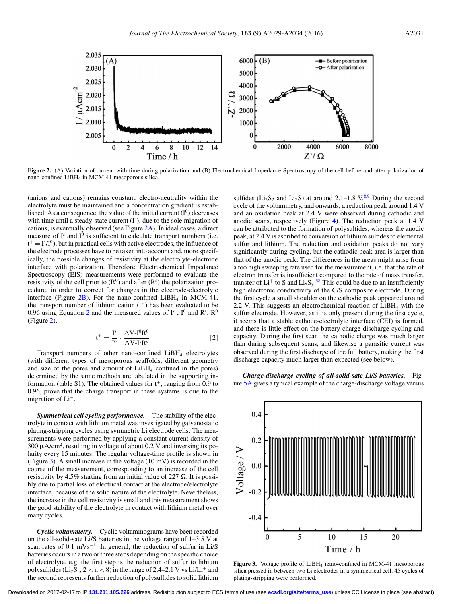

<span id="page-2-0"></span>

Figure 2. (A) Variation of current with time during polarization and (B) Electrochemical Impedance Spectroscopy of the cell before and after polarization of nano-confined LiBH4 in MCM-41 mesoporous silica.

(anions and cations) remains constant, electro-neutrality within the electrolyte must be maintained and a concentration gradient is established. As a consequence, the value of the initial current  $(I^0)$  decreases with time until a steady-state current (I<sup>s</sup>), due to the sole migration of cations, is eventually observed (see Figure [2A\)](#page-2-0). In ideal cases, a direct measure of  $I^s$  and  $I^0$  is sufficient to calculate transport numbers (i.e.  $t^+ = I^s/I^0$ , but in practical cells with active electrodes, the influence of the electrode processes have to be taken into account and, more specifically, the possible changes of resistivity at the electrolyte-electrode interface with polarization. Therefore, Electrochemical Impedance Spectroscopy (EIS) measurements were performed to evaluate the resistivity of the cell prior to  $(R^0)$  and after  $(R^s)$  the polarization procedure, in order to correct for changes in the electrode-electrolyte interface (Figure  $2B$ ). For the nano-confined LiBH<sub>4</sub> in MCM-41, the transport number of lithium cation  $(t^+)$  has been evaluated to be 0.96 using Equation [2](#page-2-1) and the measured values of  $I^s$ ,  $I^0$  and  $R^s$ ,  $R^0$ (Figure [2\)](#page-2-0).

<span id="page-2-1"></span>
$$
t^{+} = \frac{I^{s}}{I^{0}} \cdot \frac{\Delta V - I^{0}R^{0}}{\Delta V - I^{s}R^{s}}
$$
 [2]

Transport numbers of other nano-confined LiBH4 electrolytes (with different types of mesoporous scaffolds, different geometry and size of the pores and amount of LiBH4 confined in the pores) determined by the same methods are tabulated in the supporting information (table S1). The obtained values for  $t^+$ , ranging from 0.9 to 0.96, prove that the charge transport in these systems is due to the migration of Li+.

*Symmetrical cell cycling performance.—*The stability of the electrolyte in contact with lithium metal was investigated by galvanostatic plating-stripping cycles using symmetric Li electrode cells. The measurements were performed by applying a constant current density of 300  $\mu$ A/cm<sup>2</sup>, resulting in voltage of about 0.2 V and inversing its polarity every 15 minutes. The regular voltage-time profile is shown in (Figure [3\)](#page-2-2). A small increase in the voltage (10 mV) is recorded in the course of the measurement, corresponding to an increase of the cell resistivity by 4.5% starting from an initial value of 227  $\Omega$ . It is possibly due to partial loss of electrical contact at the electrode/electrolyte interface, because of the solid nature of the electrolyte. Nevertheless, the increase in the cell resistivity is small and this measurement shows the good stability of the electrolyte in contact with lithium metal over many cycles.

*Cyclic voltammetry.—*Cyclic voltammograms have been recorded on the all-solid-sate Li/S batteries in the voltage range of 1–3.5 V at scan rates of 0.1 mVs<sup>-1</sup>. In general, the reduction of sulfur in Li/S batteries occurs in a two or three steps depending on the specific choice of electrolyte, e.g. the first step is the reduction of sulfur to lithium polysulfides ( $Li_2S_n$ ,  $2 < n < 8$ ) in the range of 2.4–2.1 V vs Li/Li<sup>+</sup> and the second represents further reduction of polysulfides to solid lithium

sulfides ( $Li_2S_2$  and  $Li_2S$ ) at around 2.1–1[.8](#page-5-3)  $V^{8,9}$  $V^{8,9}$  $V^{8,9}$  During the second cycle of the voltammetry, and onwards, a reduction peak around 1.4 V and an oxidation peak at 2.4 V were observed during cathodic and anodic scans, respectively (Figure [4\)](#page-3-0). The reduction peak at 1.4 V can be attributed to the formation of polysulfides, whereas the anodic peak, at 2.4 V is ascribed to conversion of lithium sulfides to elemental sulfur and lithium. The reduction and oxidation peaks do not vary significantly during cycling, but the cathodic peak area is larger than that of the anodic peak. The differences in the areas might arise from a too high sweeping rate used for the measurement, i.e. that the rate of electron transfer is insufficient compared to the rate of mass transfer, transfer of  $Li^{+}$  to S and  $Li_{x}S_{y}$ .<sup>[58](#page-5-42)</sup> This could be due to an insufficiently high electronic conductivity of the C/S composite electrode. During the first cycle a small shoulder on the cathodic peak appeared around 2.2 V. This suggests an electrochemical reaction of  $LiBH<sub>4</sub>$  with the sulfur electrode. However, as it is only present during the first cycle, it seems that a stable cathode-electrolyte interface (CEI) is formed, and there is little effect on the battery charge-discharge cycling and capacity. During the first scan the cathodic charge was much larger than during subsequent scans, and likewise a parasitic current was observed during the first discharge of the full battery, making the first discharge capacity much larger than expected (see below).

*Charge-discharge cycling of all-solid-sate Li/S batteries.—*Figure [5A](#page-3-1) gives a typical example of the charge-discharge voltage versus

<span id="page-2-2"></span>

**Figure 3.** Voltage profile of LiBH4 nano-confined in MCM-41 mesoporous silica pressed in between two Li electrodes in a symmetrical cell. 45 cycles of plating-stripping were performed.

Downloaded on 2017-02-17 to IP **131.211.105.226** address. Redistribution subject to ECS terms of use (see **[ecsdl.org/site/terms\\_use](http://ecsdl.org/site/terms_use)**) unless CC License in place (see abstract).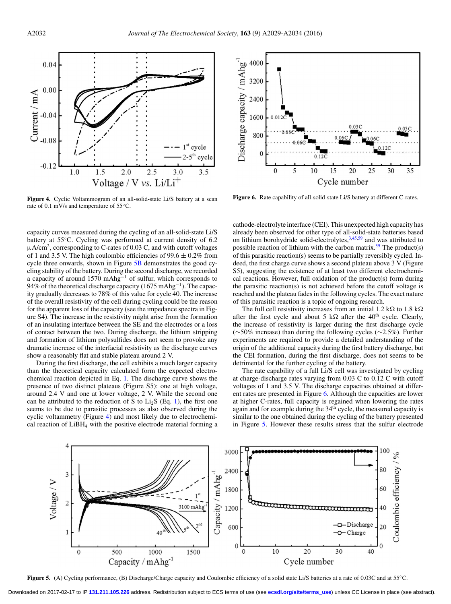<span id="page-3-0"></span>

**Figure 4.** Cyclic Voltammogram of an all-solid-state Li/S battery at a scan rate of 0.1 mV/s and temperature of 55◦C.

capacity curves measured during the cycling of an all-solid-state Li/S battery at 55◦C. Cycling was performed at current density of 6.2 μA/cm2, corresponding to C-rates of 0.03 C, and with cutoff voltages of 1 and 3.5 V. The high coulombic efficiencies of 99.6  $\pm$  0.2% from cycle three onwards, shown in Figure [5B](#page-3-1) demonstrates the good cycling stability of the battery. During the second discharge, we recorded a capacity of around 1570 mAhg−<sup>1</sup> of sulfur, which corresponds to 94% of the theoretical discharge capacity (1675 mAhg<sup>-1</sup>). The capacity gradually decreases to 78% of this value for cycle 40. The increase of the overall resistivity of the cell during cycling could be the reason for the apparent loss of the capacity (see the impedance spectra in Figure S4). The increase in the resistivity might arise from the formation of an insulating interface between the SE and the electrodes or a loss of contact between the two. During discharge, the lithium stripping and formation of lithium polysulfides does not seem to provoke any dramatic increase of the interfacial resistivity as the discharge curves show a reasonably flat and stable plateau around 2 V.

During the first discharge, the cell exhibits a much larger capacity than the theoretical capacity calculated form the expected electrochemical reaction depicted in Eq. [1.](#page-0-1) The discharge curve shows the presence of two distinct plateaus (Figure S5): one at high voltage, around 2.4 V and one at lower voltage, 2 V. While the second one can be attributed to the reduction of S to  $Li<sub>2</sub>S$  (Eq. [1\)](#page-0-1), the first one seems to be due to parasitic processes as also observed during the cyclic voltammetry (Figure [4\)](#page-3-0) and most likely due to electrochemical reaction of  $LiBH<sub>4</sub>$  with the positive electrode material forming a

<span id="page-3-2"></span>

Figure 6. Rate capability of all-solid-state Li/S battery at different C-rates.

cathode-electrolyte interface (CEI). This unexpected high capacity has already been observed for other type of all-solid-state batteries based on lithium borohydride solid-electrolytes,<sup>3,[45](#page-5-32)[,59](#page-5-44)</sup> and was attributed to possible reaction of lithium with the carbon matrix.<sup>59</sup> The product(s) of this parasitic reaction(s) seems to be partially reversibly cycled. Indeed, the first charge curve shows a second plateau above 3 V (Figure S5), suggesting the existence of at least two different electrochemical reactions. However, full oxidation of the product(s) form during the parasitic reaction(s) is not achieved before the cutoff voltage is reached and the plateau fades in the following cycles. The exact nature of this parasitic reaction is a topic of ongoing research.

The full cell resistivity increases from an initial 1.2 k $\Omega$  to 1.8 k $\Omega$ after the first cycle and about 5 k $\Omega$  after the 40<sup>th</sup> cycle. Clearly, the increase of resistivity is larger during the first discharge cycle (∼50% increase) than during the following cycles (∼2.5%). Further experiments are required to provide a detailed understanding of the origin of the additional capacity during the first battery discharge, but the CEI formation, during the first discharge, does not seems to be detrimental for the further cycling of the battery.

The rate capability of a full Li/S cell was investigated by cycling at charge-discharge rates varying from 0.03 C to 0.12 C with cutoff voltages of 1 and 3.5 V. The discharge capacities obtained at different rates are presented in Figure [6.](#page-3-2) Although the capacities are lower at higher C-rates, full capacity is regained when lowering the rates again and for example during the  $34<sup>th</sup>$  cycle, the measured capacity is similar to the one obtained during the cycling of the battery presented in Figure [5.](#page-3-1) However these results stress that the sulfur electrode

<span id="page-3-1"></span>

**Figure 5.** (A) Cycling performance, (B) Discharge/Charge capacity and Coulombic efficiency of a solid state Li/S batteries at a rate of 0.03C and at 55<sup>°</sup>C.

Downloaded on 2017-02-17 to IP **131.211.105.226** address. Redistribution subject to ECS terms of use (see **[ecsdl.org/site/terms\\_use](http://ecsdl.org/site/terms_use)**) unless CC License in place (see abstract).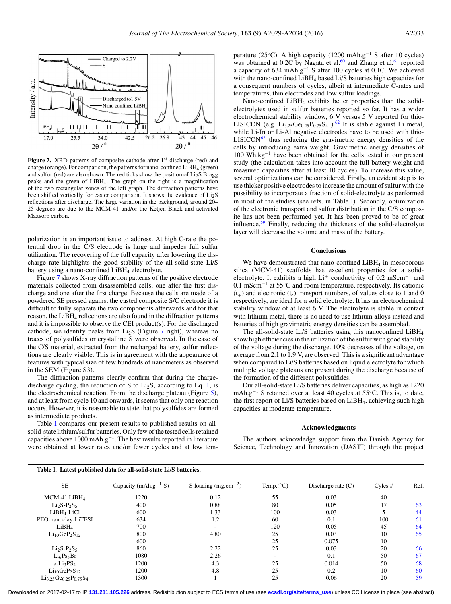<span id="page-4-0"></span>

**Figure 7.** XRD patterns of composite cathode after 1<sup>st</sup> discharge (red) and charge (orange). For comparison, the patterns for nano-confined LiBH4 (green) and sulfur (red) are also shown. The red ticks show the position of  $Li<sub>2</sub>S$  Bragg peaks and the green of LiBH4. The graph on the right is a magnification of the two rectangular zones of the left graph. The diffraction patterns have been shifted vertically for easier comparison. It shows the evidence of  $Li<sub>2</sub>S$ reflections after discharge. The large variation in the background, around 20– 25 degrees are due to the MCM-41 and/or the Ketjen Black and activated Maxsorb carbon.

polarization is an important issue to address. At high C-rate the potential drop in the C/S electrode is large and impedes full sulfur utilization. The recovering of the full capacity after lowering the discharge rate highlights the good stability of the all-solid-state Li/S battery using a nano-confined LiBH<sub>4</sub> electrolyte.

Figure [7](#page-4-0) shows X-ray diffraction patterns of the positive electrode materials collected from disassembled cells, one after the first discharge and one after the first charge. Because the cells are made of a powdered SE pressed against the casted composite S/C electrode it is difficult to fully separate the two components afterwards and for that reason, the LiBH4 reflections are also found in the diffraction patterns and it is impossible to observe the CEI product(s). For the discharged cathode, we identify peaks from  $Li<sub>2</sub>S$  (Figure [7](#page-4-0) right), whereas no traces of polysulfides or crystalline S were observed. In the case of the C/S material, extracted from the recharged battery, sulfur reflections are clearly visible. This is in agreement with the appearance of features with typical size of few hundreds of nanometers as observed in the SEM (Figure S3).

The diffraction patterns clearly confirm that during the chargedischarge cycling, the reduction of S to  $Li<sub>2</sub>S$ , according to Eq. [1,](#page-0-1) is the electrochemical reaction. From the discharge plateau (Figure [5\)](#page-3-1), and at least from cycle 10 and onwards, it seems that only one reaction occurs. However, it is reasonable to state that polysulfides are formed as intermediate products.

Table [I](#page-4-1) compares our present results to published results on allsolid-state lithium/sulfur batteries. Only few of the tested cells retained capacities above 1000 mAh.g<sup>-1</sup>. The best results reported in literature were obtained at lower rates and/or fewer cycles and at low temperature (25◦C). A high capacity (1200 mAh.g−<sup>1</sup> S after 10 cycles) was obtained at 0.2C by Nagata et al.<sup>60</sup> and Zhang et al.<sup>[61](#page-5-46)</sup> reported a capacity of 634 mAh.g−<sup>1</sup> S after 100 cycles at 0.1C. We achieved with the nano-confined LiBH<sub>4</sub> based Li/S batteries high capacities for a consequent numbers of cycles, albeit at intermediate C-rates and temperatures, thin electrodes and low sulfur loadings.

Nano-confined LiBH4 exhibits better properties than the solidelectrolytes used in sulfur batteries reported so far. It has a wider electrochemical stability window, 6 V versus 5 V reported for thio-LISICON (e.g.  $Li_{3,25}Ge_{0,25}P_{0,75}S_4$ ).<sup>62</sup> It is stable against Li metal, while Li-In or Li-Al negative electrodes have to be used with thio- $LISTCON<sup>62</sup>$  $LISTCON<sup>62</sup>$  $LISTCON<sup>62</sup>$  thus reducing the gravimetric energy densities of the cells by introducing extra weight. Gravimetric energy densities of 100 Wh.kg−<sup>1</sup> have been obtained for the cells tested in our present study (the calculation takes into account the full battery weight and measured capacities after at least 10 cycles). To increase this value, several optimizations can be considered. Firstly, an evident step is to use thicker positive electrodes to increase the amount of sulfur with the possibility to incorporate a fraction of solid-electrolyte as performed in most of the studies (see refs. in Table [I\)](#page-4-1). Secondly, optimization of the electronic transport and sulfur distribution in the C/S composite has not been performed yet. It has been proved to be of great influence.[59](#page-5-44) Finally, reducing the thickness of the solid-electrolyte layer will decrease the volume and mass of the battery.

## **Conclusions**

We have demonstrated that nano-confined  $LiBH<sub>4</sub>$  in mesoporous silica (MCM-41) scaffolds has excellent properties for a solidelectrolyte. It exhibits a high  $Li^+$  conductivity of 0.2 mScm<sup>-1</sup> and 0.1 mScm−<sup>1</sup> at 55◦C and room temperature, respectively. Its cationic  $(t_{+})$  and electronic  $(t_{e})$  transport numbers, of values close to 1 and 0 respectively, are ideal for a solid electrolyte. It has an electrochemical stability window of at least 6 V. The electrolyte is stable in contact with lithium metal, there is no need to use lithium alloys instead and batteries of high gravimetric energy densities can be assembled.

The all-solid-state Li/S batteries using this nanoconfined LiBH<sub>4</sub> show high efficiencies in the utilization of the sulfur with good stability of the voltage during the discharge. 10% decreases of the voltage, on average from 2.1 to 1.9 V, are observed. This is a significant advantage when compared to Li/S batteries based on liquid electrolyte for which multiple voltage plateaus are present during the discharge because of the formation of the different polysulfides.

Our all-solid-state Li/S batteries deliver capacities, as high as 1220 mAh.g<sup>-1</sup> S retained over at least 40 cycles at 55°C. This is, to date, the first report of Li/S batteries based on LiBH4, achieving such high capacities at moderate temperature.

#### **Acknowledgments**

The authors acknowledge support from the Danish Agency for Science, Technology and Innovation (DASTI) through the project

<span id="page-4-1"></span>

| Table I. Latest published data for all-solid-state Li/S batteries. |                                  |                          |                          |                      |         |      |
|--------------------------------------------------------------------|----------------------------------|--------------------------|--------------------------|----------------------|---------|------|
| <b>SE</b>                                                          | Capacity (mAh.g <sup>-1</sup> S) | S loading $(mg.cm^{-2})$ | Temp. $(^{\circ}C)$      | Discharge rate $(C)$ | Cyles # | Ref. |
| MCM-41 $LiBH4$                                                     | 1220                             | 0.12                     | 55                       | 0.03                 | 40      |      |
| $Li2S-P2S5$                                                        | 400                              | 0.88                     | 80                       | 0.05                 | 17      | 63   |
| $LiBH4-LiCl$                                                       | 600                              | 1.33                     | 100                      | 0.03                 |         | 44   |
| PEO-nanoclay-LiTFSI                                                | 634                              | 1.2                      | 60                       | 0.1                  | 100     | 61   |
| LiBH <sub>4</sub>                                                  | 700                              |                          | 120                      | 0.05                 | 45      | 64   |
| $Li_{10}GeP_2S_{12}$                                               | 800                              | 4.80                     | 25                       | 0.03                 | 10      | 65   |
|                                                                    | 600                              |                          | 25                       | 0.075                | 10      |      |
| $Li2S-P2S5$                                                        | 860                              | 2.22                     | 25                       | 0.03                 | 20      | 66   |
| Li <sub>6</sub> Ps <sub>5</sub> Br                                 | 1080                             | 2.26                     | $\overline{\phantom{a}}$ | 0.1                  | 50      | 67   |
| $a-Li_3PS_4$                                                       | 1200                             | 4.3                      | 25                       | 0.014                | 50      | 68   |
| $Li_{10}GeP_2S_{12}$                                               | 1200                             | 4.8                      | 25                       | 0.2                  | 10      | 60   |
| $Li_{3.25}Ge_{0.25}P_{0.75}S_4$                                    | 1300                             |                          | 25                       | 0.06                 | 20      | 59   |